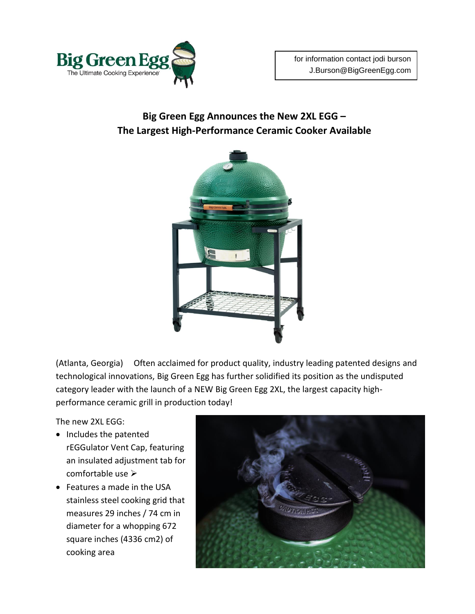

## **Big Green Egg Announces the New 2XL EGG – The Largest High-Performance Ceramic Cooker Available**



(Atlanta, Georgia) Often acclaimed for product quality, industry leading patented designs and technological innovations, Big Green Egg has further solidified its position as the undisputed category leader with the launch of a NEW Big Green Egg 2XL, the largest capacity highperformance ceramic grill in production today!

The new 2XL EGG:

- Includes the patented rEGGulator Vent Cap, featuring an insulated adjustment tab for comfortable use
- Features a made in the USA stainless steel cooking grid that measures 29 inches / 74 cm in diameter for a whopping 672 square inches (4336 cm2) of cooking area